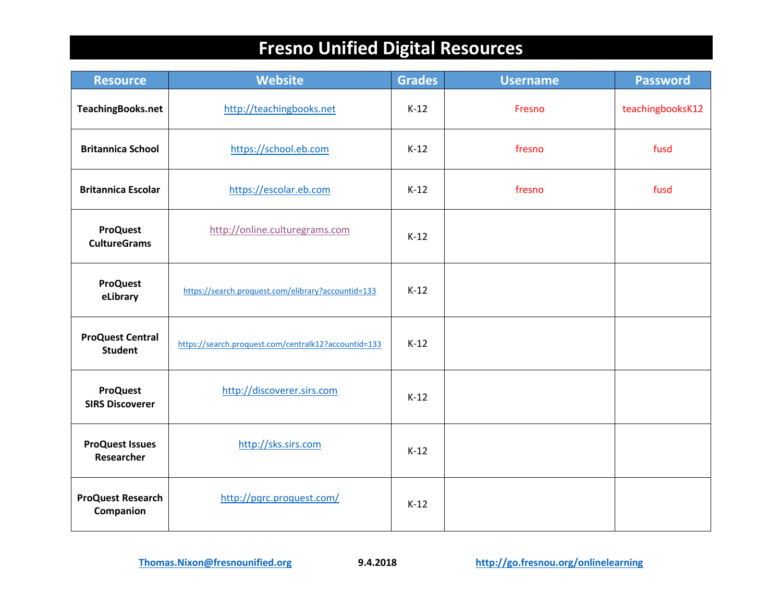| <b>Resource</b>                           | <b>Website</b>                                       | <b>Grades</b> | <b>Username</b> | <b>Password</b>  |
|-------------------------------------------|------------------------------------------------------|---------------|-----------------|------------------|
| <b>TeachingBooks.net</b>                  | http://teachingbooks.net                             | $K-12$        | Fresno          | teachingbooksK12 |
| <b>Britannica School</b>                  | https://school.eb.com                                | $K-12$        | fresno          | fusd             |
| <b>Britannica Escolar</b>                 | https://escolar.eb.com                               | $K-12$        | fresno          | fusd             |
| <b>ProQuest</b><br><b>CultureGrams</b>    | http://online.culturegrams.com                       | $K-12$        |                 |                  |
| <b>ProQuest</b><br>eLibrary               | https://search.proquest.com/elibrary?accountid=133   | $K-12$        |                 |                  |
| <b>ProQuest Central</b><br><b>Student</b> | https://search.proquest.com/centralk12?accountid=133 | $K-12$        |                 |                  |
| <b>ProQuest</b><br><b>SIRS Discoverer</b> | http://discoverer.sirs.com                           | $K-12$        |                 |                  |
| <b>ProQuest Issues</b><br>Researcher      | http://sks.sirs.com                                  | $K-12$        |                 |                  |
| <b>ProQuest Research</b><br>Companion     | http://pqrc.proquest.com/                            | $K-12$        |                 |                  |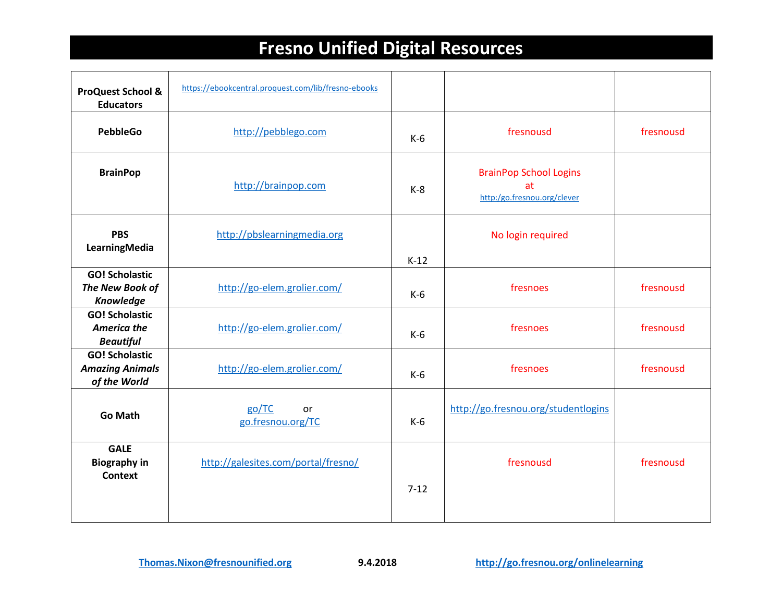| <b>ProQuest School &amp;</b><br><b>Educators</b>                | https://ebookcentral.proquest.com/lib/fresno-ebooks |          |                                                                    |           |
|-----------------------------------------------------------------|-----------------------------------------------------|----------|--------------------------------------------------------------------|-----------|
| <b>PebbleGo</b>                                                 | http://pebblego.com                                 | $K-6$    | fresnousd                                                          | fresnousd |
| <b>BrainPop</b>                                                 | http://brainpop.com                                 | $K-8$    | <b>BrainPop School Logins</b><br>at<br>http:/go.fresnou.org/clever |           |
| <b>PBS</b><br>LearningMedia                                     | http://pbslearningmedia.org                         | $K-12$   | No login required                                                  |           |
| <b>GO! Scholastic</b><br>The New Book of<br>Knowledge           | http://go-elem.grolier.com/                         | $K-6$    | fresnoes                                                           | fresnousd |
| <b>GO! Scholastic</b><br><b>America the</b><br><b>Beautiful</b> | http://go-elem.grolier.com/                         | $K-6$    | fresnoes                                                           | fresnousd |
| <b>GO! Scholastic</b><br><b>Amazing Animals</b><br>of the World | http://go-elem.grolier.com/                         | $K-6$    | fresnoes                                                           | fresnousd |
| <b>Go Math</b>                                                  | go/TC<br>or<br>go.fresnou.org/TC                    | $K-6$    | http://go.fresnou.org/studentlogins                                |           |
| <b>GALE</b><br><b>Biography in</b><br><b>Context</b>            | http://galesites.com/portal/fresno/                 | $7 - 12$ | fresnousd                                                          | fresnousd |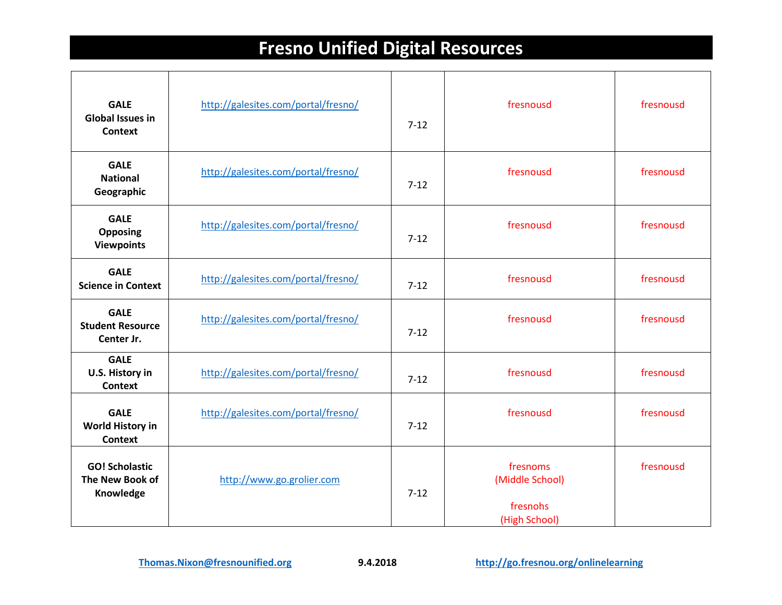| <b>GALE</b><br><b>Global Issues in</b><br><b>Context</b> | http://galesites.com/portal/fresno/ | $7-12$   | fresnousd                                                | fresnousd |
|----------------------------------------------------------|-------------------------------------|----------|----------------------------------------------------------|-----------|
| <b>GALE</b><br><b>National</b><br>Geographic             | http://galesites.com/portal/fresno/ | $7 - 12$ | fresnousd                                                | fresnousd |
| <b>GALE</b><br><b>Opposing</b><br><b>Viewpoints</b>      | http://galesites.com/portal/fresno/ | $7-12$   | fresnousd                                                | fresnousd |
| <b>GALE</b><br><b>Science in Context</b>                 | http://galesites.com/portal/fresno/ | $7-12$   | fresnousd                                                | fresnousd |
| <b>GALE</b><br><b>Student Resource</b><br>Center Jr.     | http://galesites.com/portal/fresno/ | $7-12$   | fresnousd                                                | fresnousd |
| <b>GALE</b><br>U.S. History in<br><b>Context</b>         | http://galesites.com/portal/fresno/ | $7 - 12$ | fresnousd                                                | fresnousd |
| <b>GALE</b><br>World History in<br><b>Context</b>        | http://galesites.com/portal/fresno/ | $7 - 12$ | fresnousd                                                | fresnousd |
| <b>GO! Scholastic</b><br>The New Book of<br>Knowledge    | http://www.go.grolier.com           | $7-12$   | fresnoms<br>(Middle School)<br>fresnohs<br>(High School) | fresnousd |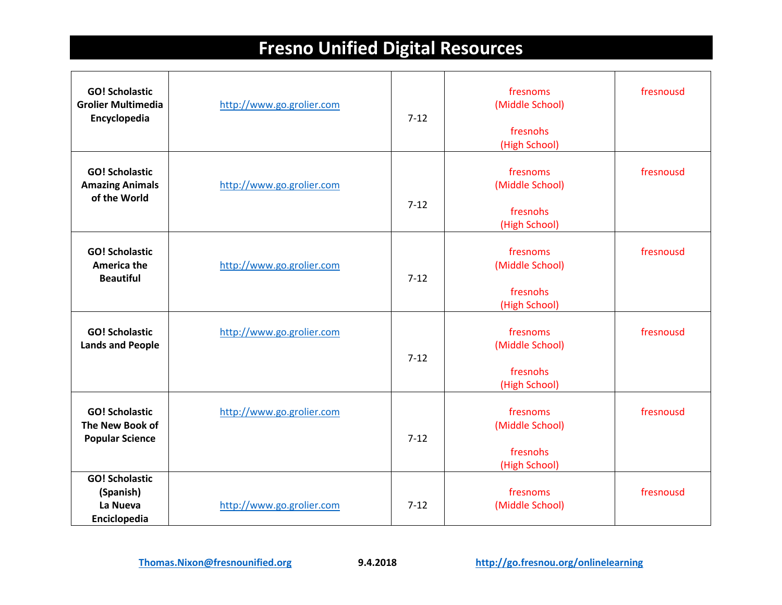| <b>GO! Scholastic</b><br><b>Grolier Multimedia</b><br>Encyclopedia | http://www.go.grolier.com | $7-12$   | fresnoms<br>(Middle School)<br>fresnohs<br>(High School) | fresnousd |
|--------------------------------------------------------------------|---------------------------|----------|----------------------------------------------------------|-----------|
| <b>GO! Scholastic</b><br><b>Amazing Animals</b><br>of the World    | http://www.go.grolier.com | $7 - 12$ | fresnoms<br>(Middle School)<br>fresnohs<br>(High School) | fresnousd |
| <b>GO! Scholastic</b><br><b>America the</b><br><b>Beautiful</b>    | http://www.go.grolier.com | $7 - 12$ | fresnoms<br>(Middle School)<br>fresnohs<br>(High School) | fresnousd |
| <b>GO! Scholastic</b><br><b>Lands and People</b>                   | http://www.go.grolier.com | $7 - 12$ | fresnoms<br>(Middle School)<br>fresnohs<br>(High School) | fresnousd |
| <b>GO! Scholastic</b><br>The New Book of<br><b>Popular Science</b> | http://www.go.grolier.com | $7-12$   | fresnoms<br>(Middle School)<br>fresnohs<br>(High School) | fresnousd |
| <b>GO! Scholastic</b><br>(Spanish)<br>La Nueva<br>Enciclopedia     | http://www.go.grolier.com | $7-12$   | fresnoms<br>(Middle School)                              | fresnousd |